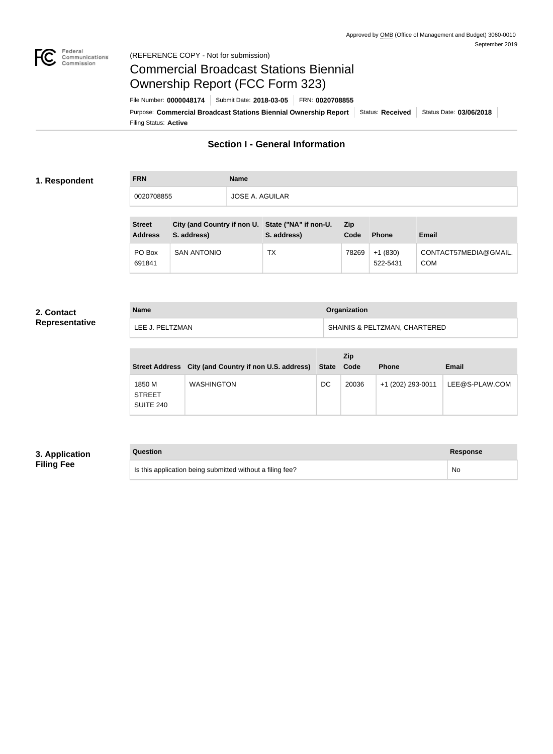

#### Federal<br>Communications<br>Commission (REFERENCE COPY - Not for submission)

# Commercial Broadcast Stations Biennial Ownership Report (FCC Form 323)

Filing Status: **Active** Purpose: Commercial Broadcast Stations Biennial Ownership Report Status: Received Status Date: 03/06/2018 File Number: **0000048174** Submit Date: **2018-03-05** FRN: **0020708855**

## **Section I - General Information**

#### **1. Respondent**

**FRN Name** 0020708855 JOSE A. AGUILAR

| <b>Street</b><br><b>Address</b> | City (and Country if non U. State ("NA" if non-U.<br>S. address) | S. address) | <b>Zip</b><br>Code | <b>Phone</b>          | <b>Email</b>                 |
|---------------------------------|------------------------------------------------------------------|-------------|--------------------|-----------------------|------------------------------|
| PO Box<br>691841                | <b>SAN ANTONIO</b>                                               | TX          | 78269              | $+1(830)$<br>522-5431 | CONTACT57MEDIA@GMAIL.<br>COM |

#### **2. Contact Representative**

| <b>Name</b>     | <b>Organization</b>                      |
|-----------------|------------------------------------------|
| LEE J. PELTZMAN | <b>SHAINIS &amp; PELTZMAN, CHARTERED</b> |

|                                      | Street Address City (and Country if non U.S. address) State Code |    | <b>Zip</b> | <b>Phone</b>      | <b>Email</b>   |
|--------------------------------------|------------------------------------------------------------------|----|------------|-------------------|----------------|
| 1850 M<br><b>STREET</b><br>SUITE 240 | <b>WASHINGTON</b>                                                | DC | 20036      | +1 (202) 293-0011 | LEE@S-PLAW.COM |

## **3. Application Filing Fee**

# **Question Response** Is this application being submitted without a filing fee? No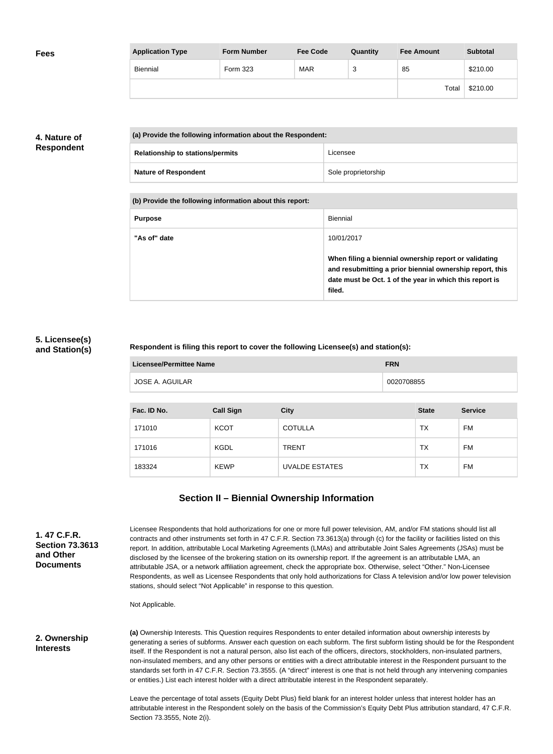| <b>Fees</b> | <b>Application Type</b> | <b>Form Number</b> | <b>Fee Code</b> | Quantity | <b>Fee Amount</b> | <b>Subtotal</b> |
|-------------|-------------------------|--------------------|-----------------|----------|-------------------|-----------------|
|             | Biennial                | Form 323           | <b>MAR</b>      | ◠<br>ັບ  | 85                | \$210.00        |
|             |                         |                    |                 |          | Total             | \$210.00        |

## **4. Nature of Respondent**

| (a) Provide the following information about the Respondent: |                     |  |
|-------------------------------------------------------------|---------------------|--|
| <b>Relationship to stations/permits</b>                     | Licensee            |  |
| <b>Nature of Respondent</b>                                 | Sole proprietorship |  |

**(b) Provide the following information about this report:**

| <b>Purpose</b> | Biennial                                                                                                                                                                               |
|----------------|----------------------------------------------------------------------------------------------------------------------------------------------------------------------------------------|
| "As of" date   | 10/01/2017                                                                                                                                                                             |
|                | When filing a biennial ownership report or validating<br>and resubmitting a prior biennial ownership report, this<br>date must be Oct. 1 of the year in which this report is<br>filed. |

### **5. Licensee(s) and Station(s)**

#### **Respondent is filing this report to cover the following Licensee(s) and station(s):**

| Licensee/Permittee Name | <b>FRN</b> |
|-------------------------|------------|
| JOSE A. AGUILAR         | 0020708855 |

| Fac. ID No. | <b>Call Sign</b> | <b>City</b>           | <b>State</b> | <b>Service</b> |
|-------------|------------------|-----------------------|--------------|----------------|
| 171010      | <b>KCOT</b>      | <b>COTULLA</b>        | TX           | FM             |
| 171016      | <b>KGDL</b>      | <b>TRENT</b>          | TX           | FM             |
| 183324      | <b>KEWP</b>      | <b>UVALDE ESTATES</b> | TX           | FM             |

## **Section II – Biennial Ownership Information**

**1. 47 C.F.R. Section 73.3613 and Other Documents**

Licensee Respondents that hold authorizations for one or more full power television, AM, and/or FM stations should list all contracts and other instruments set forth in 47 C.F.R. Section 73.3613(a) through (c) for the facility or facilities listed on this report. In addition, attributable Local Marketing Agreements (LMAs) and attributable Joint Sales Agreements (JSAs) must be disclosed by the licensee of the brokering station on its ownership report. If the agreement is an attributable LMA, an attributable JSA, or a network affiliation agreement, check the appropriate box. Otherwise, select "Other." Non-Licensee Respondents, as well as Licensee Respondents that only hold authorizations for Class A television and/or low power television stations, should select "Not Applicable" in response to this question.

Not Applicable.

#### **2. Ownership Interests**

**(a)** Ownership Interests. This Question requires Respondents to enter detailed information about ownership interests by generating a series of subforms. Answer each question on each subform. The first subform listing should be for the Respondent itself. If the Respondent is not a natural person, also list each of the officers, directors, stockholders, non-insulated partners, non-insulated members, and any other persons or entities with a direct attributable interest in the Respondent pursuant to the standards set forth in 47 C.F.R. Section 73.3555. (A "direct" interest is one that is not held through any intervening companies or entities.) List each interest holder with a direct attributable interest in the Respondent separately.

Leave the percentage of total assets (Equity Debt Plus) field blank for an interest holder unless that interest holder has an attributable interest in the Respondent solely on the basis of the Commission's Equity Debt Plus attribution standard, 47 C.F.R. Section 73.3555, Note 2(i).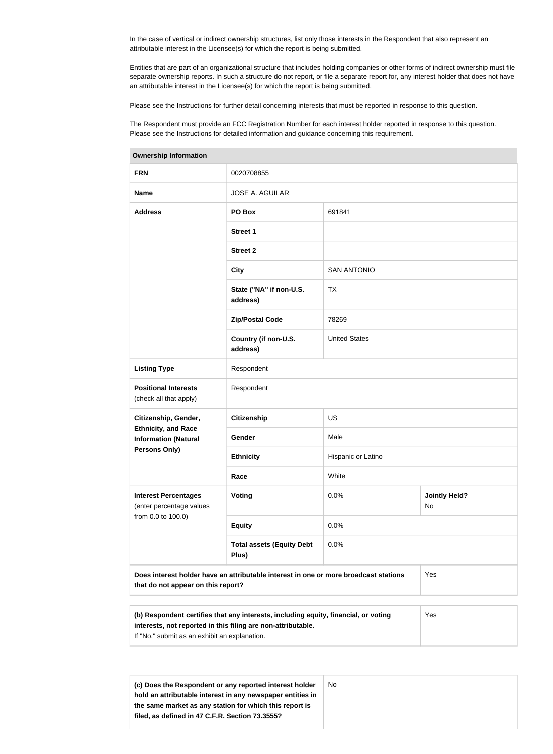In the case of vertical or indirect ownership structures, list only those interests in the Respondent that also represent an attributable interest in the Licensee(s) for which the report is being submitted.

Entities that are part of an organizational structure that includes holding companies or other forms of indirect ownership must file separate ownership reports. In such a structure do not report, or file a separate report for, any interest holder that does not have an attributable interest in the Licensee(s) for which the report is being submitted.

Please see the Instructions for further detail concerning interests that must be reported in response to this question.

The Respondent must provide an FCC Registration Number for each interest holder reported in response to this question. Please see the Instructions for detailed information and guidance concerning this requirement.

| <b>Ownership Information</b>                                                                                                                               |                                                                                      |                      |                            |  |
|------------------------------------------------------------------------------------------------------------------------------------------------------------|--------------------------------------------------------------------------------------|----------------------|----------------------------|--|
| <b>FRN</b>                                                                                                                                                 | 0020708855                                                                           |                      |                            |  |
| <b>Name</b>                                                                                                                                                | <b>JOSE A. AGUILAR</b>                                                               |                      |                            |  |
| <b>Address</b>                                                                                                                                             | PO Box                                                                               | 691841               |                            |  |
|                                                                                                                                                            | <b>Street 1</b>                                                                      |                      |                            |  |
|                                                                                                                                                            | <b>Street 2</b>                                                                      |                      |                            |  |
|                                                                                                                                                            | <b>City</b>                                                                          | <b>SAN ANTONIO</b>   |                            |  |
|                                                                                                                                                            | State ("NA" if non-U.S.<br>address)                                                  | <b>TX</b>            |                            |  |
|                                                                                                                                                            | <b>Zip/Postal Code</b>                                                               | 78269                |                            |  |
|                                                                                                                                                            | Country (if non-U.S.<br>address)                                                     | <b>United States</b> |                            |  |
| <b>Listing Type</b>                                                                                                                                        | Respondent                                                                           |                      |                            |  |
| <b>Positional Interests</b><br>(check all that apply)                                                                                                      | Respondent                                                                           |                      |                            |  |
| Citizenship, Gender,                                                                                                                                       | <b>Citizenship</b>                                                                   | <b>US</b>            |                            |  |
| <b>Ethnicity, and Race</b><br><b>Information (Natural</b>                                                                                                  | Gender                                                                               | Male                 |                            |  |
| Persons Only)                                                                                                                                              | <b>Ethnicity</b>                                                                     | Hispanic or Latino   |                            |  |
|                                                                                                                                                            | Race                                                                                 | White                |                            |  |
| <b>Interest Percentages</b><br>(enter percentage values                                                                                                    | <b>Voting</b>                                                                        | 0.0%                 | <b>Jointly Held?</b><br>No |  |
| from 0.0 to 100.0)                                                                                                                                         | <b>Equity</b>                                                                        | 0.0%                 |                            |  |
|                                                                                                                                                            | <b>Total assets (Equity Debt</b><br>Plus)                                            | 0.0%                 |                            |  |
| that do not appear on this report?                                                                                                                         | Does interest holder have an attributable interest in one or more broadcast stations |                      | Yes                        |  |
|                                                                                                                                                            |                                                                                      |                      |                            |  |
| (b) Respondent certifies that any interests, including equity, financial, or voting<br>Yes<br>interests, not reported in this filing are non-attributable. |                                                                                      |                      |                            |  |

If "No," submit as an exhibit an explanation.

**(c) Does the Respondent or any reported interest holder hold an attributable interest in any newspaper entities in the same market as any station for which this report is filed, as defined in 47 C.F.R. Section 73.3555?** No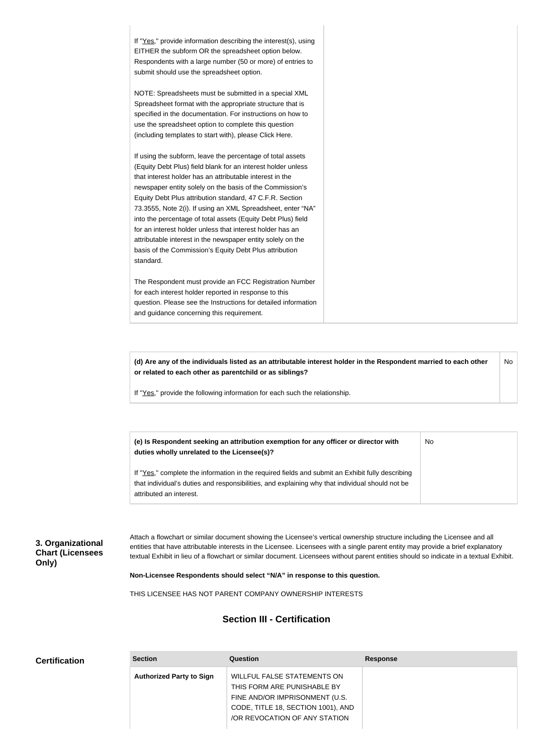If "Yes," provide information describing the interest(s), using EITHER the subform OR the spreadsheet option below. Respondents with a large number (50 or more) of entries to submit should use the spreadsheet option.

NOTE: Spreadsheets must be submitted in a special XML Spreadsheet format with the appropriate structure that is specified in the documentation. For instructions on how to use the spreadsheet option to complete this question (including templates to start with), please Click Here.

If using the subform, leave the percentage of total assets (Equity Debt Plus) field blank for an interest holder unless that interest holder has an attributable interest in the newspaper entity solely on the basis of the Commission's Equity Debt Plus attribution standard, 47 C.F.R. Section 73.3555, Note 2(i). If using an XML Spreadsheet, enter "NA" into the percentage of total assets (Equity Debt Plus) field for an interest holder unless that interest holder has an attributable interest in the newspaper entity solely on the basis of the Commission's Equity Debt Plus attribution standard.

The Respondent must provide an FCC Registration Number for each interest holder reported in response to this question. Please see the Instructions for detailed information and guidance concerning this requirement.

**(d) Are any of the individuals listed as an attributable interest holder in the Respondent married to each other or related to each other as parentchild or as siblings?** No

If "Yes," provide the following information for each such the relationship.

**(e) Is Respondent seeking an attribution exemption for any officer or director with duties wholly unrelated to the Licensee(s)?** If "Yes," complete the information in the required fields and submit an Exhibit fully describing No

that individual's duties and responsibilities, and explaining why that individual should not be attributed an interest.

## **3. Organizational Chart (Licensees Only)**

Attach a flowchart or similar document showing the Licensee's vertical ownership structure including the Licensee and all entities that have attributable interests in the Licensee. Licensees with a single parent entity may provide a brief explanatory textual Exhibit in lieu of a flowchart or similar document. Licensees without parent entities should so indicate in a textual Exhibit.

**Non-Licensee Respondents should select "N/A" in response to this question.**

THIS LICENSEE HAS NOT PARENT COMPANY OWNERSHIP INTERESTS

## **Section III - Certification**

| <b>Certification</b> | <b>Section</b>                  | <b>Question</b>                                                                                                                    | <b>Response</b> |
|----------------------|---------------------------------|------------------------------------------------------------------------------------------------------------------------------------|-----------------|
|                      | <b>Authorized Party to Sign</b> | WILLFUL FALSE STATEMENTS ON<br>THIS FORM ARE PUNISHABLE BY<br>FINE AND/OR IMPRISONMENT (U.S.<br>CODE, TITLE 18, SECTION 1001), AND |                 |
|                      |                                 | /OR REVOCATION OF ANY STATION                                                                                                      |                 |